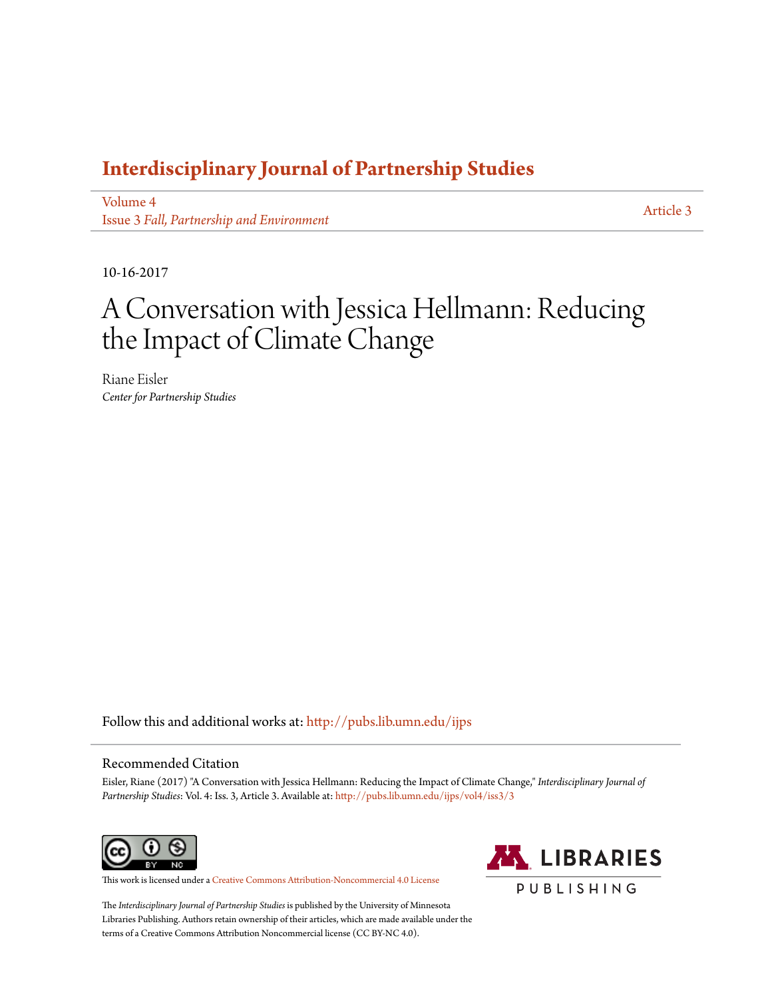## **[Interdisciplinary Journal of Partnership Studies](http://pubs.lib.umn.edu/ijps?utm_source=pubs.lib.umn.edu%2Fijps%2Fvol4%2Fiss3%2F3&utm_medium=PDF&utm_campaign=PDFCoverPages)**

[Volume 4](http://pubs.lib.umn.edu/ijps/vol4?utm_source=pubs.lib.umn.edu%2Fijps%2Fvol4%2Fiss3%2F3&utm_medium=PDF&utm_campaign=PDFCoverPages) Issue 3 *[Fall, Partnership and Environment](http://pubs.lib.umn.edu/ijps/vol4/iss3?utm_source=pubs.lib.umn.edu%2Fijps%2Fvol4%2Fiss3%2F3&utm_medium=PDF&utm_campaign=PDFCoverPages)*

[Article 3](http://pubs.lib.umn.edu/ijps/vol4/iss3/3?utm_source=pubs.lib.umn.edu%2Fijps%2Fvol4%2Fiss3%2F3&utm_medium=PDF&utm_campaign=PDFCoverPages)

10-16-2017

# A Conversation with Jessica Hellmann: Reducing the Impact of Climate Change

Riane Eisler *Center for Partnership Studies*

Follow this and additional works at: [http://pubs.lib.umn.edu/ijps](http://pubs.lib.umn.edu/ijps?utm_source=pubs.lib.umn.edu%2Fijps%2Fvol4%2Fiss3%2F3&utm_medium=PDF&utm_campaign=PDFCoverPages)

### Recommended Citation

Eisler, Riane (2017) "A Conversation with Jessica Hellmann: Reducing the Impact of Climate Change," *Interdisciplinary Journal of Partnership Studies*: Vol. 4: Iss. 3, Article 3. Available at: [http://pubs.lib.umn.edu/ijps/vol4/iss3/3](http://pubs.lib.umn.edu/ijps/vol4/iss3/3?utm_source=pubs.lib.umn.edu%2Fijps%2Fvol4%2Fiss3%2F3&utm_medium=PDF&utm_campaign=PDFCoverPages)



This work is licensed under a [Creative Commons Attribution-Noncommercial 4.0 License](http://creativecommons.org/licenses/by-nc/4.0/)



The *Interdisciplinary Journal of Partnership Studies* is published by the University of Minnesota Libraries Publishing. Authors retain ownership of their articles, which are made available under the terms of a Creative Commons Attribution Noncommercial license (CC BY-NC 4.0).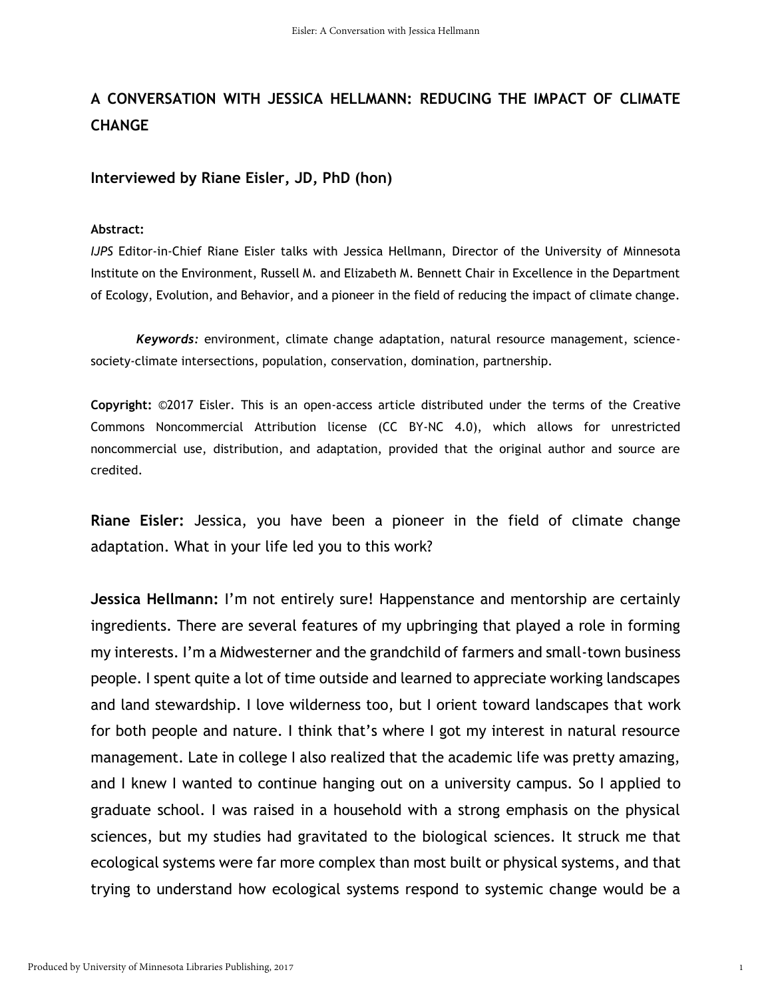### **A CONVERSATION WITH JESSICA HELLMANN: REDUCING THE IMPACT OF CLIMATE CHANGE**

### **Interviewed by Riane Eisler, JD, PhD (hon)**

### **Abstract:**

*IJPS* Editor-in-Chief Riane Eisler talks with Jessica Hellmann, Director of the University of Minnesota Institute on the Environment, Russell M. and Elizabeth M. Bennett Chair in Excellence in the Department of Ecology, Evolution, and Behavior, and a pioneer in the field of reducing the impact of climate change.

*Keywords:* environment, climate change adaptation, natural resource management, sciencesociety-climate intersections, population, conservation, domination, partnership.

**Copyright:** ©2017 Eisler. This is an open-access article distributed under the terms of the Creative Commons Noncommercial Attribution license (CC BY-NC 4.0), which allows for unrestricted noncommercial use, distribution, and adaptation, provided that the original author and source are credited.

**Riane Eisler:** Jessica, you have been a pioneer in the field of climate change adaptation. What in your life led you to this work?

**Jessica Hellmann:** I'm not entirely sure! Happenstance and mentorship are certainly ingredients. There are several features of my upbringing that played a role in forming my interests. I'm a Midwesterner and the grandchild of farmers and small-town business people. I spent quite a lot of time outside and learned to appreciate working landscapes and land stewardship. I love wilderness too, but I orient toward landscapes that work for both people and nature. I think that's where I got my interest in natural resource management. Late in college I also realized that the academic life was pretty amazing, and I knew I wanted to continue hanging out on a university campus. So I applied to graduate school. I was raised in a household with a strong emphasis on the physical sciences, but my studies had gravitated to the biological sciences. It struck me that ecological systems were far more complex than most built or physical systems, and that trying to understand how ecological systems respond to systemic change would be a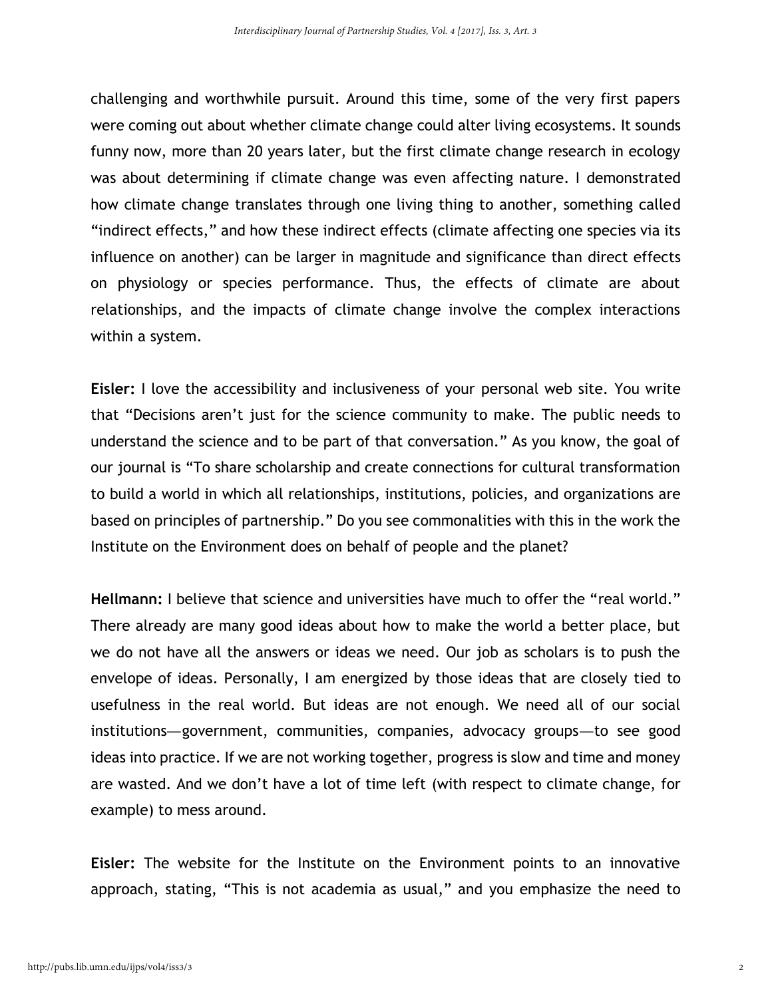challenging and worthwhile pursuit. Around this time, some of the very first papers were coming out about whether climate change could alter living ecosystems. It sounds funny now, more than 20 years later, but the first climate change research in ecology was about determining if climate change was even affecting nature. I demonstrated how climate change translates through one living thing to another, something called "indirect effects," and how these indirect effects (climate affecting one species via its influence on another) can be larger in magnitude and significance than direct effects on physiology or species performance. Thus, the effects of climate are about relationships, and the impacts of climate change involve the complex interactions within a system.

**Eisler:** I love the accessibility and inclusiveness of your personal web site. You write that "Decisions aren't just for the science community to make. The public needs to understand the science and to be part of that conversation." As you know, the goal of our journal is "To share scholarship and create connections for cultural transformation to build a world in which all relationships, institutions, policies, and organizations are based on principles of partnership." Do you see commonalities with this in the work the Institute on the Environment does on behalf of people and the planet?

**Hellmann:** I believe that science and universities have much to offer the "real world." There already are many good ideas about how to make the world a better place, but we do not have all the answers or ideas we need. Our job as scholars is to push the envelope of ideas. Personally, I am energized by those ideas that are closely tied to usefulness in the real world. But ideas are not enough. We need all of our social institutions—government, communities, companies, advocacy groups—to see good ideas into practice. If we are not working together, progress is slow and time and money are wasted. And we don't have a lot of time left (with respect to climate change, for example) to mess around.

**Eisler:** The website for the Institute on the Environment points to an innovative approach, stating, "This is not academia as usual," and you emphasize the need to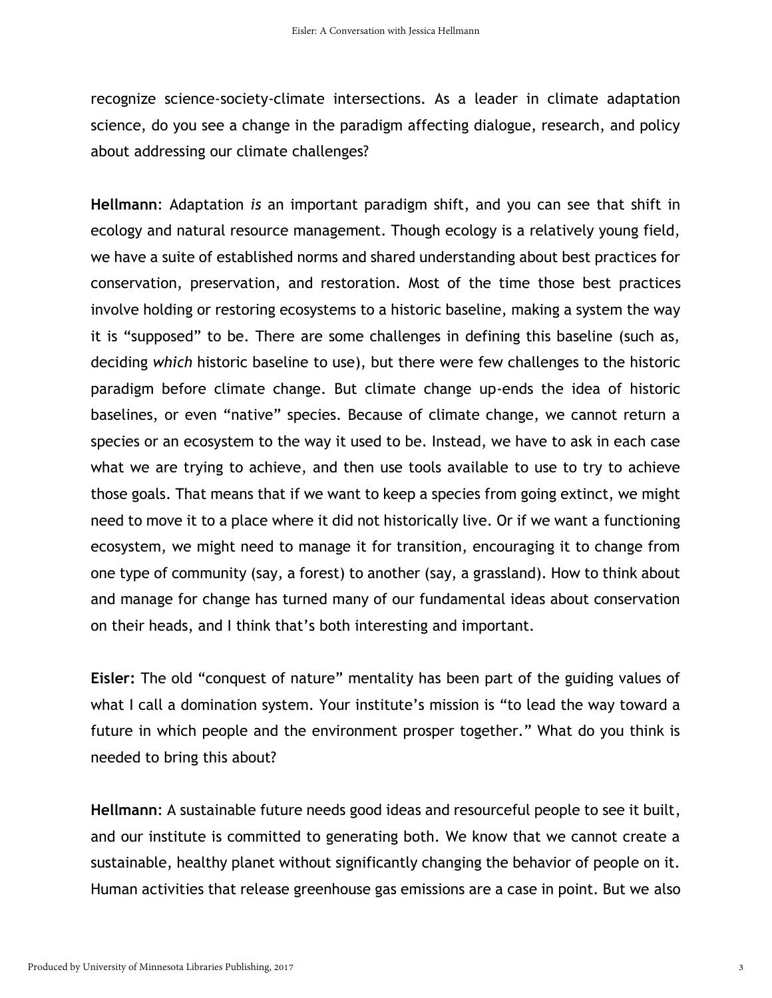recognize science-society-climate intersections. As a leader in climate adaptation science, do you see a change in the paradigm affecting dialogue, research, and policy about addressing our climate challenges?

**Hellmann**: Adaptation *is* an important paradigm shift, and you can see that shift in ecology and natural resource management. Though ecology is a relatively young field, we have a suite of established norms and shared understanding about best practices for conservation, preservation, and restoration. Most of the time those best practices involve holding or restoring ecosystems to a historic baseline, making a system the way it is "supposed" to be. There are some challenges in defining this baseline (such as, deciding *which* historic baseline to use), but there were few challenges to the historic paradigm before climate change. But climate change up-ends the idea of historic baselines, or even "native" species. Because of climate change, we cannot return a species or an ecosystem to the way it used to be. Instead, we have to ask in each case what we are trying to achieve, and then use tools available to use to try to achieve those goals. That means that if we want to keep a species from going extinct, we might need to move it to a place where it did not historically live. Or if we want a functioning ecosystem, we might need to manage it for transition, encouraging it to change from one type of community (say, a forest) to another (say, a grassland). How to think about and manage for change has turned many of our fundamental ideas about conservation on their heads, and I think that's both interesting and important.

**Eisler:** The old "conquest of nature" mentality has been part of the guiding values of what I call a domination system. Your institute's mission is "to lead the way toward a future in which people and the environment prosper together." What do you think is needed to bring this about?

**Hellmann**: A sustainable future needs good ideas and resourceful people to see it built, and our institute is committed to generating both. We know that we cannot create a sustainable, healthy planet without significantly changing the behavior of people on it. Human activities that release greenhouse gas emissions are a case in point. But we also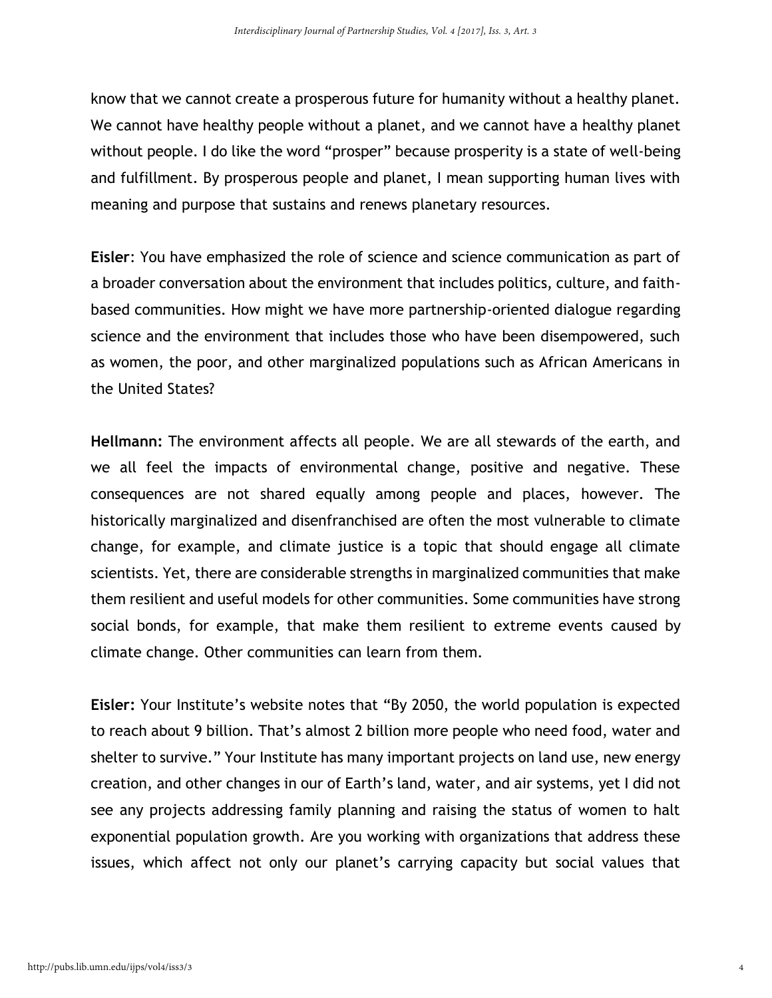know that we cannot create a prosperous future for humanity without a healthy planet. We cannot have healthy people without a planet, and we cannot have a healthy planet without people. I do like the word "prosper" because prosperity is a state of well-being and fulfillment. By prosperous people and planet, I mean supporting human lives with meaning and purpose that sustains and renews planetary resources.

**Eisler**: You have emphasized the role of science and science communication as part of a broader conversation about the environment that includes politics, culture, and faithbased communities. How might we have more partnership-oriented dialogue regarding science and the environment that includes those who have been disempowered, such as women, the poor, and other marginalized populations such as African Americans in the United States?

**Hellmann:** The environment affects all people. We are all stewards of the earth, and we all feel the impacts of environmental change, positive and negative. These consequences are not shared equally among people and places, however. The historically marginalized and disenfranchised are often the most vulnerable to climate change, for example, and climate justice is a topic that should engage all climate scientists. Yet, there are considerable strengths in marginalized communities that make them resilient and useful models for other communities. Some communities have strong social bonds, for example, that make them resilient to extreme events caused by climate change. Other communities can learn from them.

**Eisler:** Your Institute's website notes that "By 2050, the world population is expected to reach about 9 billion. That's almost 2 billion more people who need food, water and shelter to survive." Your Institute has many important projects on land use, new energy creation, and other changes in our of Earth's land, water, and air systems, yet I did not see any projects addressing family planning and raising the status of women to halt exponential population growth. Are you working with organizations that address these issues, which affect not only our planet's carrying capacity but social values that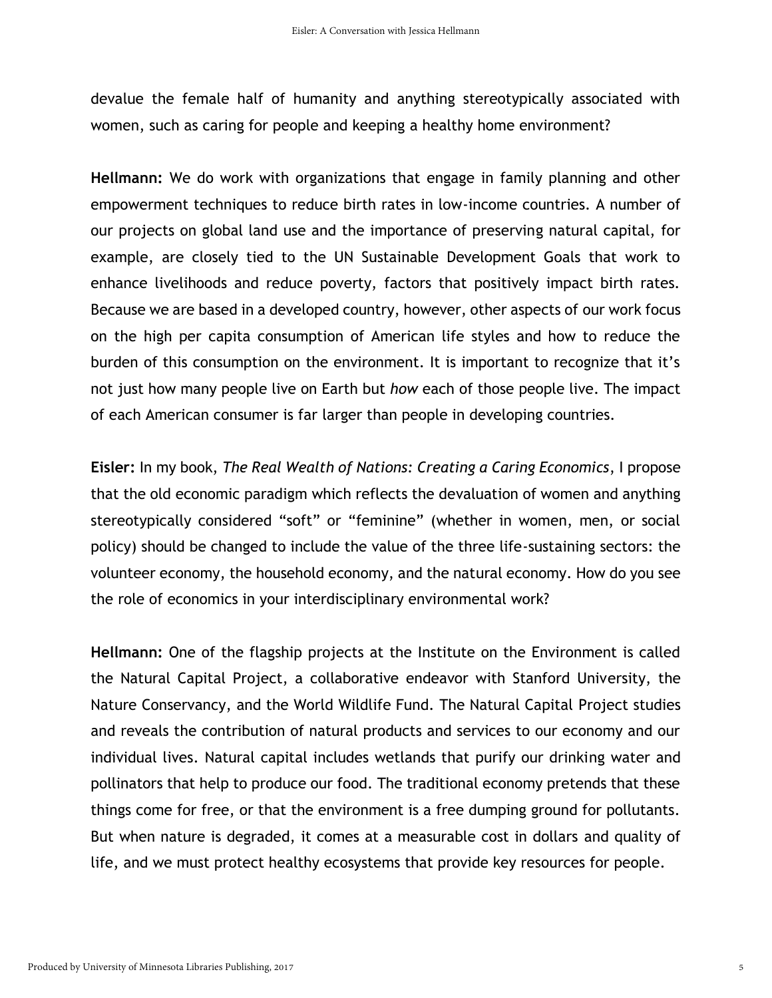devalue the female half of humanity and anything stereotypically associated with women, such as caring for people and keeping a healthy home environment?

**Hellmann:** We do work with organizations that engage in family planning and other empowerment techniques to reduce birth rates in low-income countries. A number of our projects on global land use and the importance of preserving natural capital, for example, are closely tied to the UN Sustainable Development Goals that work to enhance livelihoods and reduce poverty, factors that positively impact birth rates. Because we are based in a developed country, however, other aspects of our work focus on the high per capita consumption of American life styles and how to reduce the burden of this consumption on the environment. It is important to recognize that it's not just how many people live on Earth but *how* each of those people live. The impact of each American consumer is far larger than people in developing countries.

**Eisler:** In my book, *The Real Wealth of Nations: Creating a Caring Economics*, I propose that the old economic paradigm which reflects the devaluation of women and anything stereotypically considered "soft" or "feminine" (whether in women, men, or social policy) should be changed to include the value of the three life-sustaining sectors: the volunteer economy, the household economy, and the natural economy. How do you see the role of economics in your interdisciplinary environmental work?

**Hellmann:** One of the flagship projects at the Institute on the Environment is called the Natural Capital Project, a collaborative endeavor with Stanford University, the Nature Conservancy, and the World Wildlife Fund. The Natural Capital Project studies and reveals the contribution of natural products and services to our economy and our individual lives. Natural capital includes wetlands that purify our drinking water and pollinators that help to produce our food. The traditional economy pretends that these things come for free, or that the environment is a free dumping ground for pollutants. But when nature is degraded, it comes at a measurable cost in dollars and quality of life, and we must protect healthy ecosystems that provide key resources for people.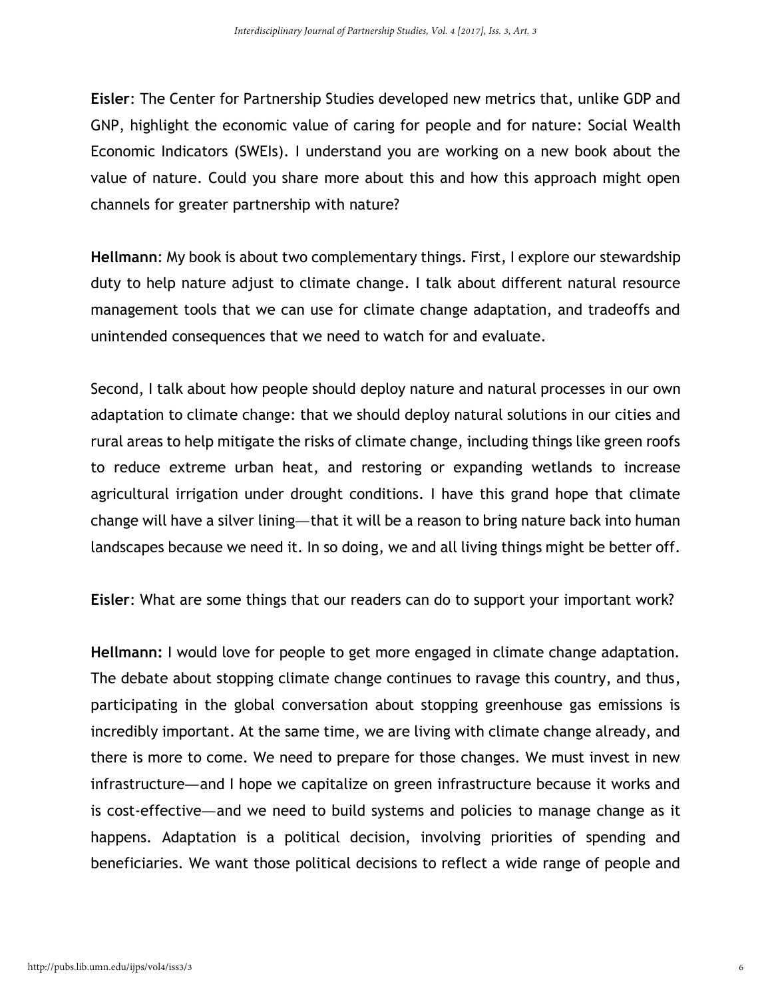**Eisler**: The Center for Partnership Studies developed new metrics that, unlike GDP and GNP, highlight the economic value of caring for people and for nature: Social Wealth Economic Indicators (SWEIs). I understand you are working on a new book about the value of nature. Could you share more about this and how this approach might open channels for greater partnership with nature?

**Hellmann**: My book is about two complementary things. First, I explore our stewardship duty to help nature adjust to climate change. I talk about different natural resource management tools that we can use for climate change adaptation, and tradeoffs and unintended consequences that we need to watch for and evaluate.

Second, I talk about how people should deploy nature and natural processes in our own adaptation to climate change: that we should deploy natural solutions in our cities and rural areas to help mitigate the risks of climate change, including things like green roofs to reduce extreme urban heat, and restoring or expanding wetlands to increase agricultural irrigation under drought conditions. I have this grand hope that climate change will have a silver lining—that it will be a reason to bring nature back into human landscapes because we need it. In so doing, we and all living things might be better off.

**Eisler**: What are some things that our readers can do to support your important work?

**Hellmann:** I would love for people to get more engaged in climate change adaptation. The debate about stopping climate change continues to ravage this country, and thus, participating in the global conversation about stopping greenhouse gas emissions is incredibly important. At the same time, we are living with climate change already, and there is more to come. We need to prepare for those changes. We must invest in new infrastructure—and I hope we capitalize on green infrastructure because it works and is cost-effective—and we need to build systems and policies to manage change as it happens. Adaptation is a political decision, involving priorities of spending and beneficiaries. We want those political decisions to reflect a wide range of people and